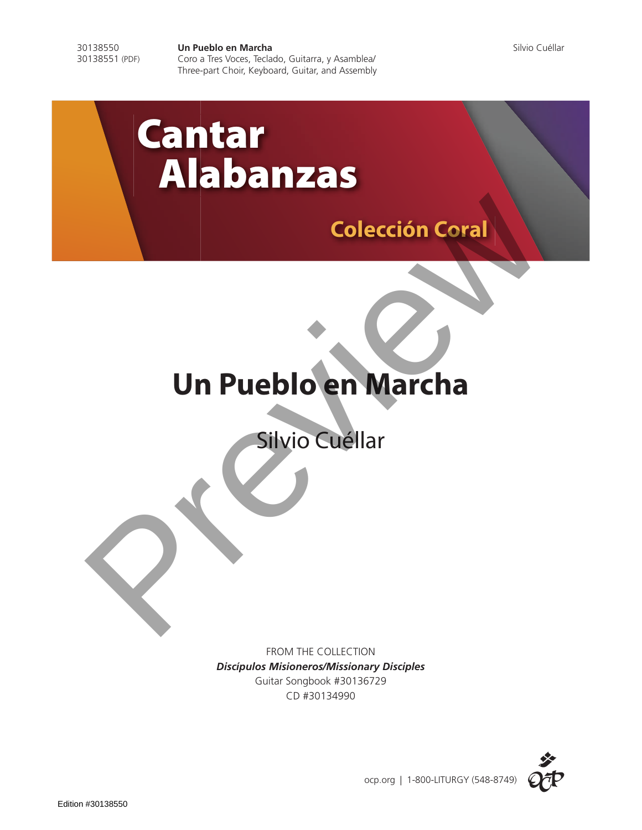30138550 **Un Pueblo en Marcha University de Silvio Cuéllar** Silvio Cuéllar<br>30138551 (PDF) Coro a Tres Voces, Teclado, Guitarra, y Asamblea/ Coro a Tres Voces, Teclado, Guitarra, y Asamblea/ Three-part Choir, Keyboard, Guitar, and Assembly

# Cantar Alabanzas

# **Colección Coral**

# **Un Pueblo en Marcha** Colección Coral

FROM THE COLLECTION *Discípulos Misioneros/Missionary Disciples* Guitar Songbook #30136729 CD #30134990

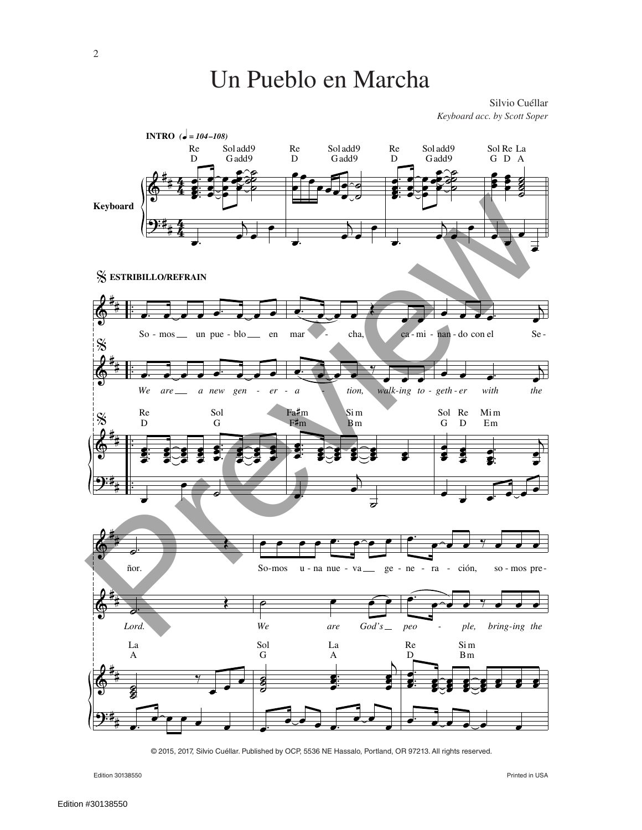Silvio Cuéllar Keyboard acc. by Scott Soper



© 2015, 2017, Silvio Cuéllar. Published by OCP, 5536 NE Hassalo, Portland, OR 97213. All rights reserved.

Edition 30138550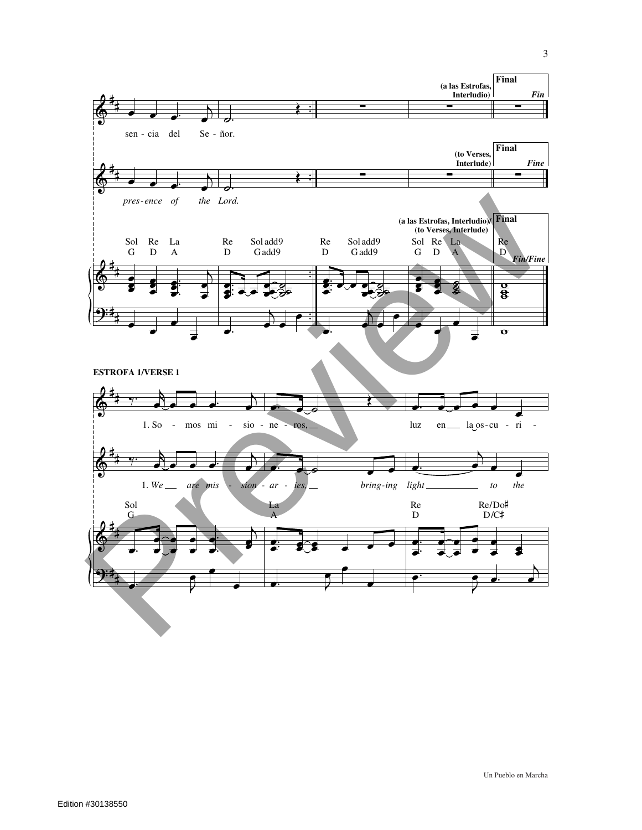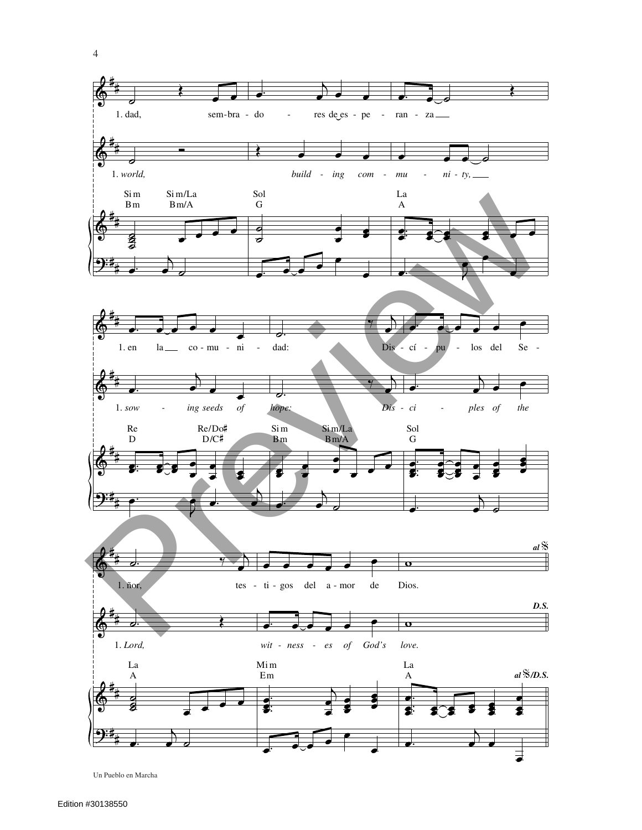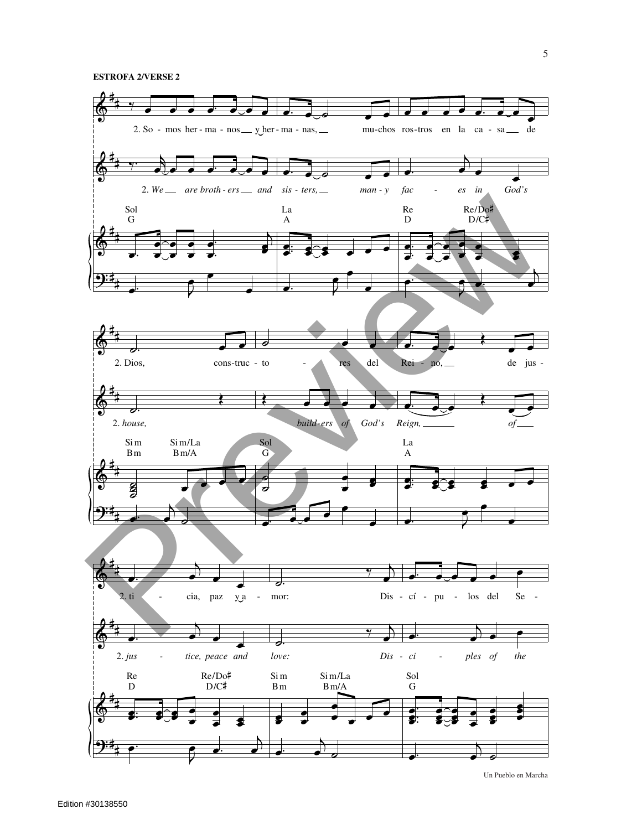### **ESTROFA 2/VERSE 2**



Un Pueblo en Marcha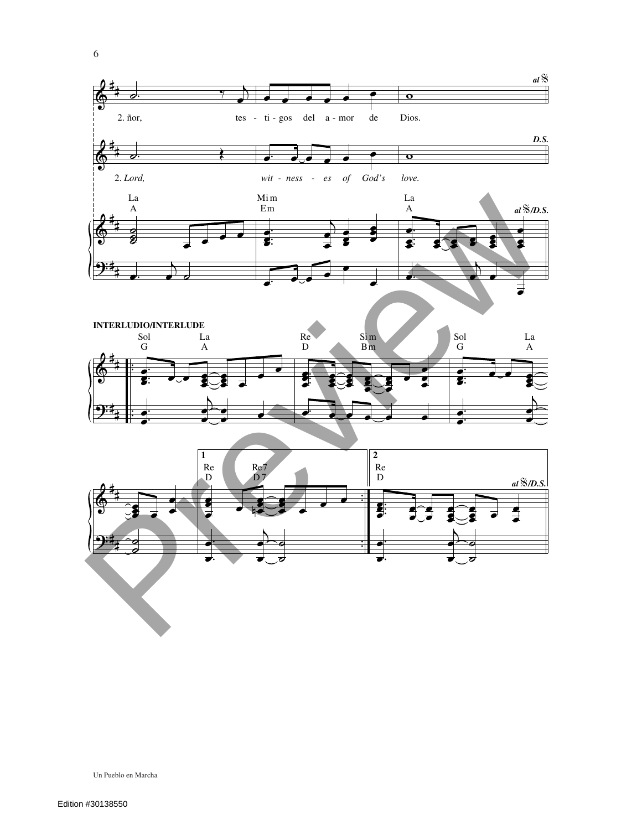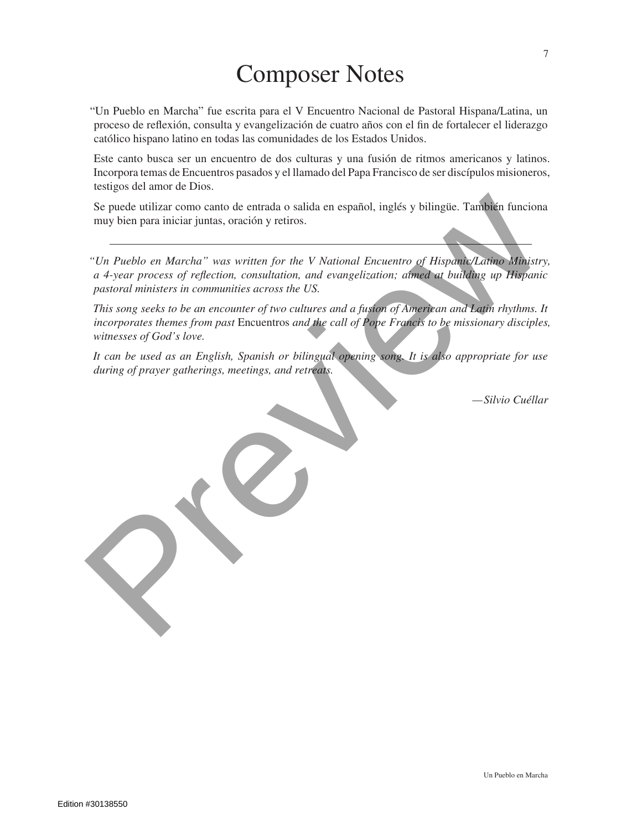## Composer Notes

"Un Pueblo en Marcha" fue escrita para el V Encuentro Nacional de Pastoral Hispana/Latina, un proceso de reflexión, consulta y evangelización de cuatro años con el fin de fortalecer el liderazgo católico hispano latino en todas las comunidades de los Estados Unidos.

Este canto busca ser un encuentro de dos culturas y una fusión de ritmos americanos y latinos. Incorpora temas de Encuentros pasados y el llamado del Papa Francisco de ser discípulos misioneros, testigos del amor de Dios.

Se puede utilizar como canto de entrada o salida en español, inglés y bilingüe. También funciona muy bien para iniciar juntas, oración y retiros.

*"Un Pueblo en Marcha" was written for the V National Encuentro of Hispanic/Latino Ministry, a 4-year process of reflection, consultation, and evangelization; aimed at building up Hispanic pastoral ministers in communities across the US.*

*This song seeks to be an encounter of two cultures and a fusion of American and Latin rhythms. It incorporates themes from past* Encuentros *and the call of Pope Francis to be missionary disciples, witnesses of God's love.* **Se puede utilizar como canto de entrada o salida en español, inglés y bilingüe. También funciona muy bien para iniciar juntas, orieción y retiros.**<br>
"Un Pueblo en Marcha" was written for the V National Encuentro of Hispan

*It can be used as an English, Spanish or bilingual opening song. It is also appropriate for use during of prayer gatherings, meetings, and retreats.*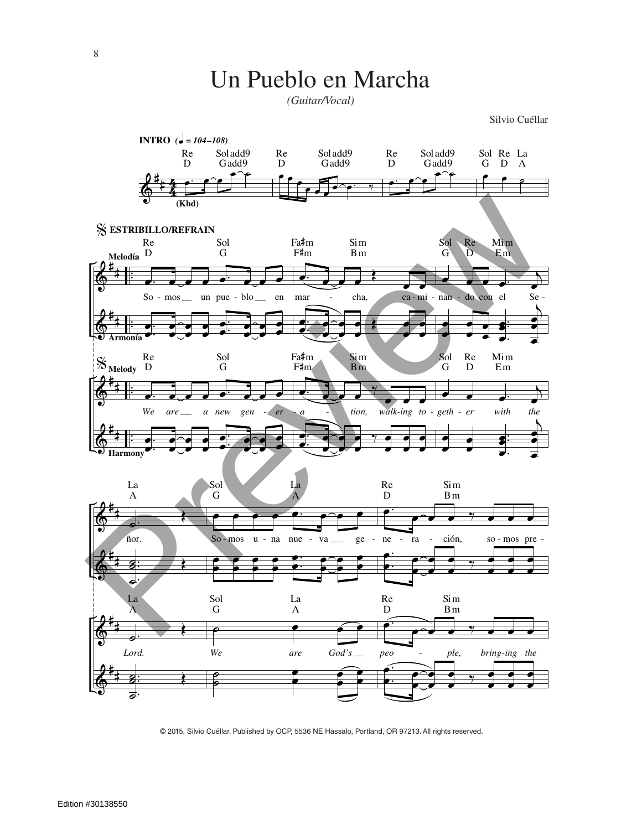*(Guitar/Vocal)*

Silvio Cuéllar



© 2015, Silvio Cuéllar. Published by OCP, 5536 NE Hassalo, Portland, OR 97213. All rights reserved.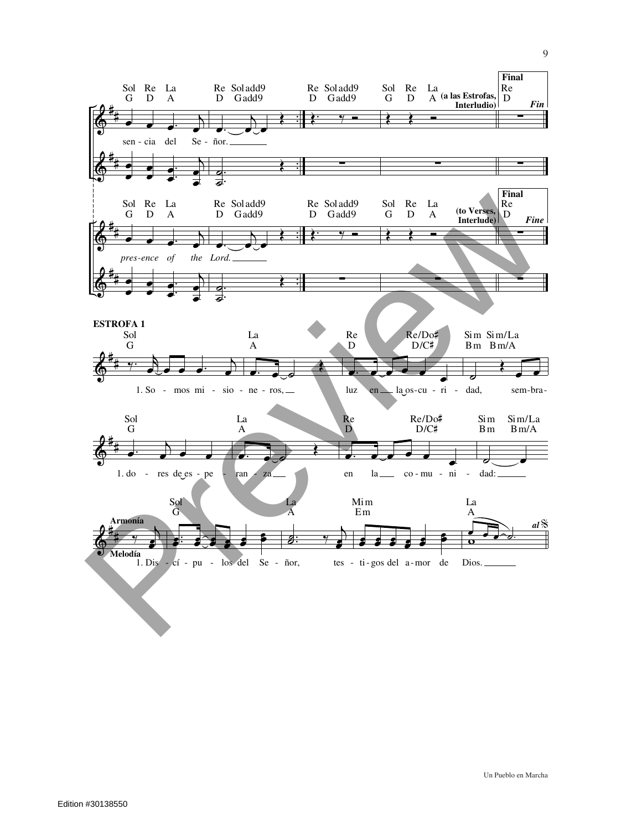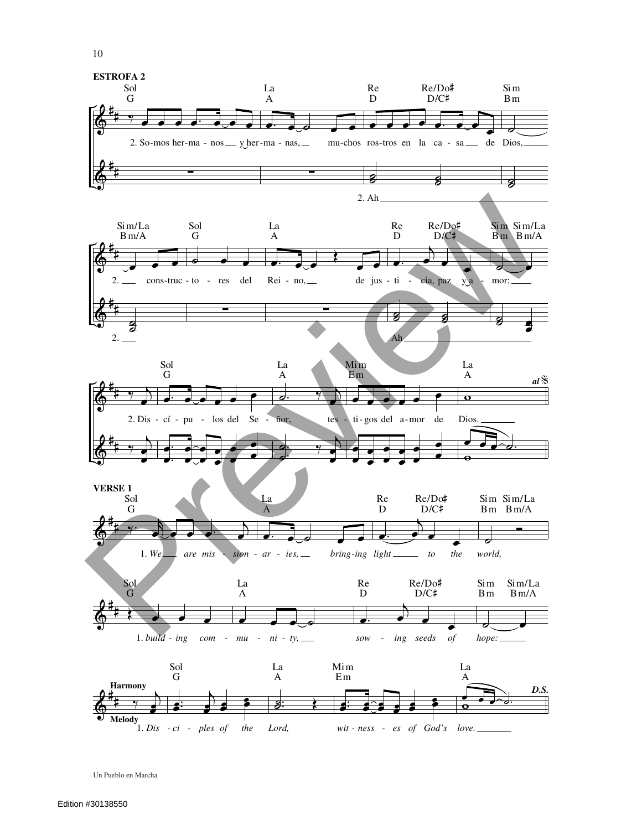



Re/Do#

 $\mathrm{D/C} \sharp$ 

 $\sin$ 

 $Bm$ 

Re

 $\overline{D}$ 

Un Pueblo en Marcha

**Melody** 

 $1. Dis - ci - ples of the$ 

Lord,

wit-ness - es of God's love.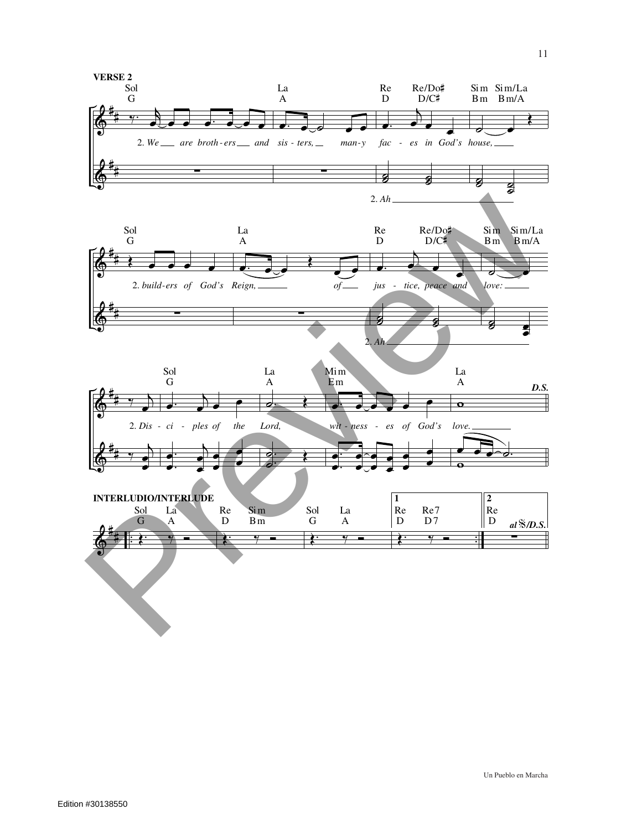